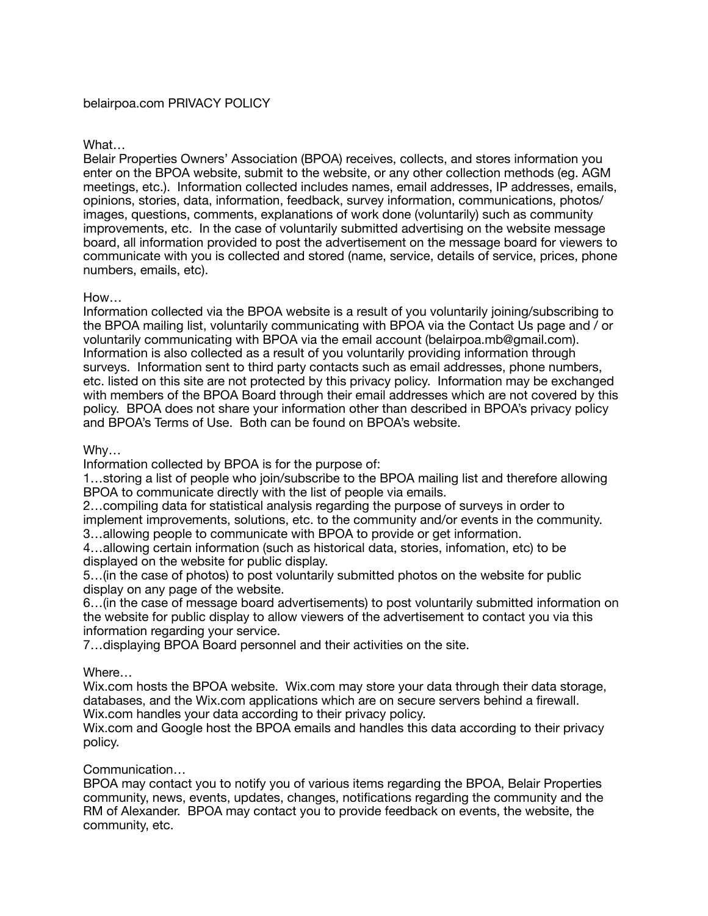## What…

Belair Properties Owners' Association (BPOA) receives, collects, and stores information you enter on the BPOA website, submit to the website, or any other collection methods (eg. AGM meetings, etc.). Information collected includes names, email addresses, IP addresses, emails, opinions, stories, data, information, feedback, survey information, communications, photos/ images, questions, comments, explanations of work done (voluntarily) such as community improvements, etc. In the case of voluntarily submitted advertising on the website message board, all information provided to post the advertisement on the message board for viewers to communicate with you is collected and stored (name, service, details of service, prices, phone numbers, emails, etc).

## How…

Information collected via the BPOA website is a result of you voluntarily joining/subscribing to the BPOA mailing list, voluntarily communicating with BPOA via the Contact Us page and / or voluntarily communicating with BPOA via the email account (belairpoa.mb@gmail.com). Information is also collected as a result of you voluntarily providing information through surveys. Information sent to third party contacts such as email addresses, phone numbers, etc. listed on this site are not protected by this privacy policy. Information may be exchanged with members of the BPOA Board through their email addresses which are not covered by this policy. BPOA does not share your information other than described in BPOA's privacy policy and BPOA's Terms of Use. Both can be found on BPOA's website.

# Why…

Information collected by BPOA is for the purpose of:

1…storing a list of people who join/subscribe to the BPOA mailing list and therefore allowing BPOA to communicate directly with the list of people via emails.

2…compiling data for statistical analysis regarding the purpose of surveys in order to implement improvements, solutions, etc. to the community and/or events in the community. 3…allowing people to communicate with BPOA to provide or get information.

4…allowing certain information (such as historical data, stories, infomation, etc) to be displayed on the website for public display.

5…(in the case of photos) to post voluntarily submitted photos on the website for public display on any page of the website.

6…(in the case of message board advertisements) to post voluntarily submitted information on the website for public display to allow viewers of the advertisement to contact you via this information regarding your service.

7…displaying BPOA Board personnel and their activities on the site.

## Where…

Wix.com hosts the BPOA website. Wix.com may store your data through their data storage, databases, and the Wix.com applications which are on secure servers behind a firewall. Wix.com handles your data according to their privacy policy.

Wix.com and Google host the BPOA emails and handles this data according to their privacy policy.

## Communication…

BPOA may contact you to notify you of various items regarding the BPOA, Belair Properties community, news, events, updates, changes, notifications regarding the community and the RM of Alexander. BPOA may contact you to provide feedback on events, the website, the community, etc.